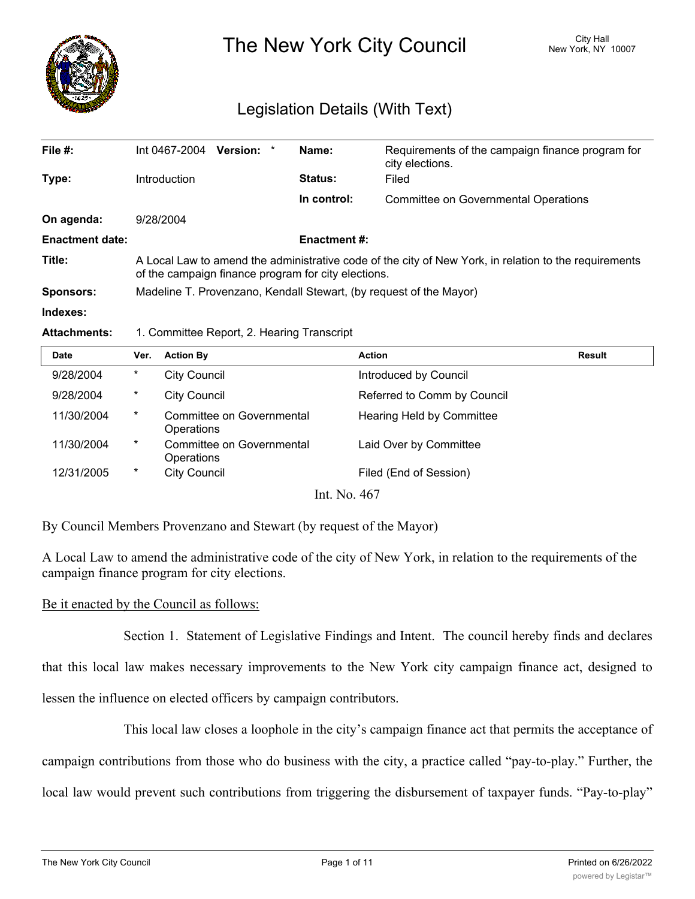

The New York City Council New York, NY 10007

# Legislation Details (With Text)

| File $#$ :             | Int 0467-2004                                                                                                                                                | Version: * |  | Name:          | Requirements of the campaign finance program for<br>city elections. |  |  |
|------------------------|--------------------------------------------------------------------------------------------------------------------------------------------------------------|------------|--|----------------|---------------------------------------------------------------------|--|--|
| Type:                  | Introduction                                                                                                                                                 |            |  | <b>Status:</b> | Filed                                                               |  |  |
|                        |                                                                                                                                                              |            |  | In control:    | Committee on Governmental Operations                                |  |  |
| On agenda:             | 9/28/2004                                                                                                                                                    |            |  |                |                                                                     |  |  |
| <b>Enactment date:</b> | <b>Enactment #:</b>                                                                                                                                          |            |  |                |                                                                     |  |  |
| Title:                 | A Local Law to amend the administrative code of the city of New York, in relation to the requirements<br>of the campaign finance program for city elections. |            |  |                |                                                                     |  |  |
| <b>Sponsors:</b>       | Madeline T. Provenzano, Kendall Stewart, (by request of the Mayor)                                                                                           |            |  |                |                                                                     |  |  |
| Indexes:               |                                                                                                                                                              |            |  |                |                                                                     |  |  |
|                        |                                                                                                                                                              |            |  |                |                                                                     |  |  |

### **Attachments:** 1. Committee Report, 2. Hearing Transcript

| <b>Date</b>  | Ver.   | <b>Action By</b>                        | <b>Action</b>               | <b>Result</b> |  |  |  |  |
|--------------|--------|-----------------------------------------|-----------------------------|---------------|--|--|--|--|
| 9/28/2004    | $\ast$ | <b>City Council</b>                     | Introduced by Council       |               |  |  |  |  |
| 9/28/2004    | $\ast$ | <b>City Council</b>                     | Referred to Comm by Council |               |  |  |  |  |
| 11/30/2004   | $\ast$ | Committee on Governmental<br>Operations | Hearing Held by Committee   |               |  |  |  |  |
| 11/30/2004   | $\ast$ | Committee on Governmental<br>Operations | Laid Over by Committee      |               |  |  |  |  |
| 12/31/2005   | $\ast$ | <b>City Council</b>                     | Filed (End of Session)      |               |  |  |  |  |
| Int. No. 467 |        |                                         |                             |               |  |  |  |  |

By Council Members Provenzano and Stewart (by request of the Mayor)

A Local Law to amend the administrative code of the city of New York, in relation to the requirements of the campaign finance program for city elections.

## Be it enacted by the Council as follows:

Section 1. Statement of Legislative Findings and Intent. The council hereby finds and declares

that this local law makes necessary improvements to the New York city campaign finance act, designed to lessen the influence on elected officers by campaign contributors.

This local law closes a loophole in the city's campaign finance act that permits the acceptance of campaign contributions from those who do business with the city, a practice called "pay-to-play." Further, the local law would prevent such contributions from triggering the disbursement of taxpayer funds. "Pay-to-play"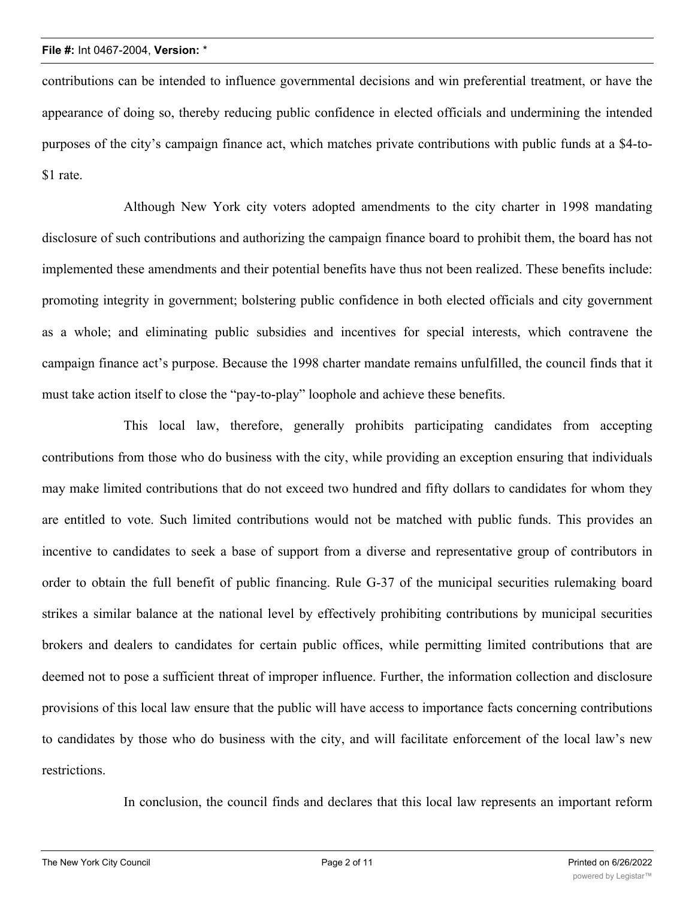contributions can be intended to influence governmental decisions and win preferential treatment, or have the appearance of doing so, thereby reducing public confidence in elected officials and undermining the intended purposes of the city's campaign finance act, which matches private contributions with public funds at a \$4-to- \$1 rate.

Although New York city voters adopted amendments to the city charter in 1998 mandating disclosure of such contributions and authorizing the campaign finance board to prohibit them, the board has not implemented these amendments and their potential benefits have thus not been realized. These benefits include: promoting integrity in government; bolstering public confidence in both elected officials and city government as a whole; and eliminating public subsidies and incentives for special interests, which contravene the campaign finance act's purpose. Because the 1998 charter mandate remains unfulfilled, the council finds that it must take action itself to close the "pay-to-play" loophole and achieve these benefits.

This local law, therefore, generally prohibits participating candidates from accepting contributions from those who do business with the city, while providing an exception ensuring that individuals may make limited contributions that do not exceed two hundred and fifty dollars to candidates for whom they are entitled to vote. Such limited contributions would not be matched with public funds. This provides an incentive to candidates to seek a base of support from a diverse and representative group of contributors in order to obtain the full benefit of public financing. Rule G-37 of the municipal securities rulemaking board strikes a similar balance at the national level by effectively prohibiting contributions by municipal securities brokers and dealers to candidates for certain public offices, while permitting limited contributions that are deemed not to pose a sufficient threat of improper influence. Further, the information collection and disclosure provisions of this local law ensure that the public will have access to importance facts concerning contributions to candidates by those who do business with the city, and will facilitate enforcement of the local law's new restrictions.

In conclusion, the council finds and declares that this local law represents an important reform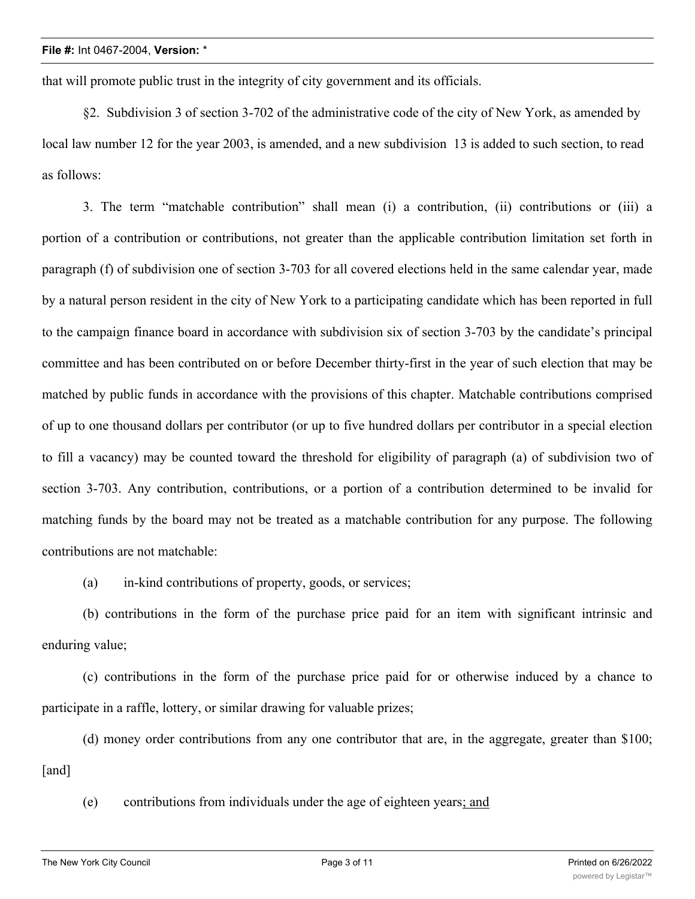that will promote public trust in the integrity of city government and its officials.

§2. Subdivision 3 of section 3-702 of the administrative code of the city of New York, as amended by local law number 12 for the year 2003, is amended, and a new subdivision 13 is added to such section, to read as follows:

3. The term "matchable contribution" shall mean (i) a contribution, (ii) contributions or (iii) a portion of a contribution or contributions, not greater than the applicable contribution limitation set forth in paragraph (f) of subdivision one of section 3-703 for all covered elections held in the same calendar year, made by a natural person resident in the city of New York to a participating candidate which has been reported in full to the campaign finance board in accordance with subdivision six of section 3-703 by the candidate's principal committee and has been contributed on or before December thirty-first in the year of such election that may be matched by public funds in accordance with the provisions of this chapter. Matchable contributions comprised of up to one thousand dollars per contributor (or up to five hundred dollars per contributor in a special election to fill a vacancy) may be counted toward the threshold for eligibility of paragraph (a) of subdivision two of section 3-703. Any contribution, contributions, or a portion of a contribution determined to be invalid for matching funds by the board may not be treated as a matchable contribution for any purpose. The following contributions are not matchable:

(a) in-kind contributions of property, goods, or services;

(b) contributions in the form of the purchase price paid for an item with significant intrinsic and enduring value;

(c) contributions in the form of the purchase price paid for or otherwise induced by a chance to participate in a raffle, lottery, or similar drawing for valuable prizes;

(d) money order contributions from any one contributor that are, in the aggregate, greater than \$100; [and]

(e) contributions from individuals under the age of eighteen years; and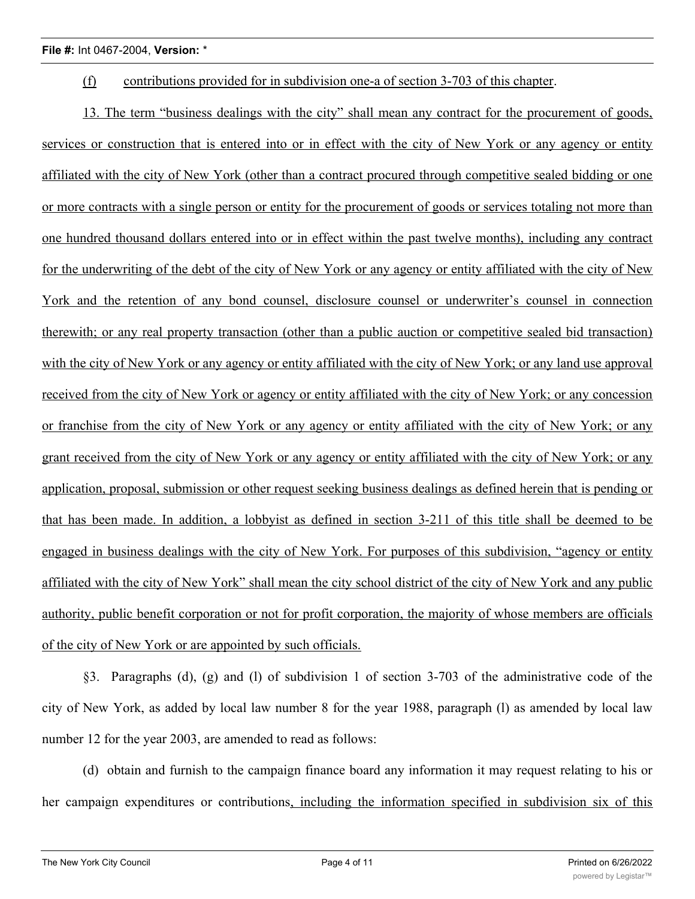(f) contributions provided for in subdivision one-a of section 3-703 of this chapter.

13. The term "business dealings with the city" shall mean any contract for the procurement of goods, services or construction that is entered into or in effect with the city of New York or any agency or entity affiliated with the city of New York (other than a contract procured through competitive sealed bidding or one or more contracts with a single person or entity for the procurement of goods or services totaling not more than one hundred thousand dollars entered into or in effect within the past twelve months), including any contract for the underwriting of the debt of the city of New York or any agency or entity affiliated with the city of New York and the retention of any bond counsel, disclosure counsel or underwriter's counsel in connection therewith; or any real property transaction (other than a public auction or competitive sealed bid transaction) with the city of New York or any agency or entity affiliated with the city of New York; or any land use approval received from the city of New York or agency or entity affiliated with the city of New York; or any concession or franchise from the city of New York or any agency or entity affiliated with the city of New York; or any grant received from the city of New York or any agency or entity affiliated with the city of New York; or any application, proposal, submission or other request seeking business dealings as defined herein that is pending or that has been made. In addition, a lobbyist as defined in section 3-211 of this title shall be deemed to be engaged in business dealings with the city of New York. For purposes of this subdivision, "agency or entity affiliated with the city of New York" shall mean the city school district of the city of New York and any public authority, public benefit corporation or not for profit corporation, the majority of whose members are officials of the city of New York or are appointed by such officials.

§3. Paragraphs (d), (g) and (l) of subdivision 1 of section 3-703 of the administrative code of the city of New York, as added by local law number 8 for the year 1988, paragraph (l) as amended by local law number 12 for the year 2003, are amended to read as follows:

(d) obtain and furnish to the campaign finance board any information it may request relating to his or her campaign expenditures or contributions, including the information specified in subdivision six of this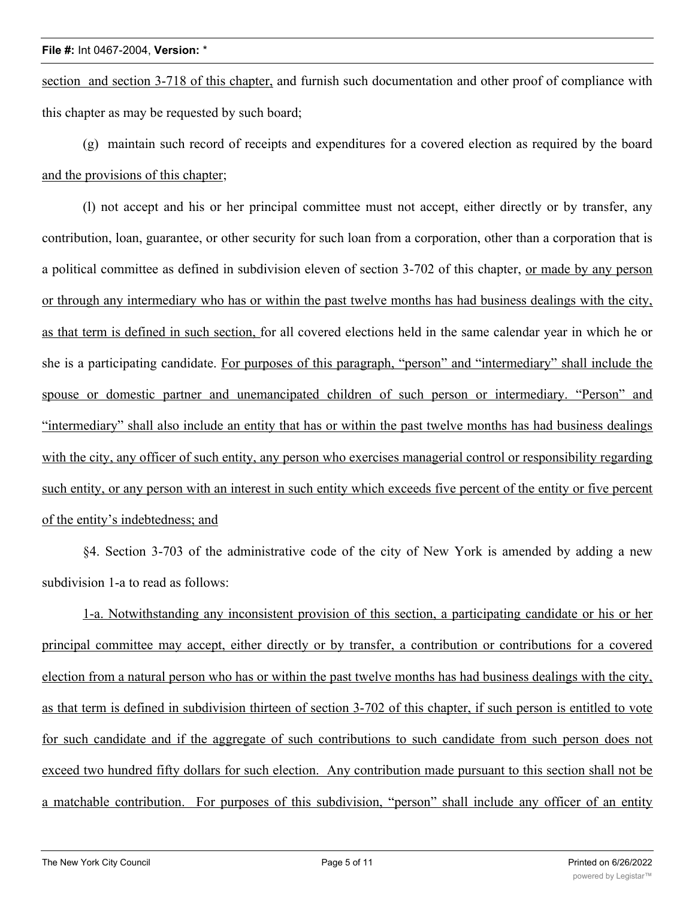section and section 3-718 of this chapter, and furnish such documentation and other proof of compliance with this chapter as may be requested by such board;

(g) maintain such record of receipts and expenditures for a covered election as required by the board and the provisions of this chapter;

(l) not accept and his or her principal committee must not accept, either directly or by transfer, any contribution, loan, guarantee, or other security for such loan from a corporation, other than a corporation that is a political committee as defined in subdivision eleven of section 3-702 of this chapter, or made by any person or through any intermediary who has or within the past twelve months has had business dealings with the city, as that term is defined in such section, for all covered elections held in the same calendar year in which he or she is a participating candidate. For purposes of this paragraph, "person" and "intermediary" shall include the spouse or domestic partner and unemancipated children of such person or intermediary. "Person" and "intermediary" shall also include an entity that has or within the past twelve months has had business dealings with the city, any officer of such entity, any person who exercises managerial control or responsibility regarding such entity, or any person with an interest in such entity which exceeds five percent of the entity or five percent of the entity's indebtedness; and

§4. Section 3-703 of the administrative code of the city of New York is amended by adding a new subdivision 1-a to read as follows:

1-a. Notwithstanding any inconsistent provision of this section, a participating candidate or his or her principal committee may accept, either directly or by transfer, a contribution or contributions for a covered election from a natural person who has or within the past twelve months has had business dealings with the city, as that term is defined in subdivision thirteen of section 3-702 of this chapter, if such person is entitled to vote for such candidate and if the aggregate of such contributions to such candidate from such person does not exceed two hundred fifty dollars for such election. Any contribution made pursuant to this section shall not be a matchable contribution. For purposes of this subdivision, "person" shall include any officer of an entity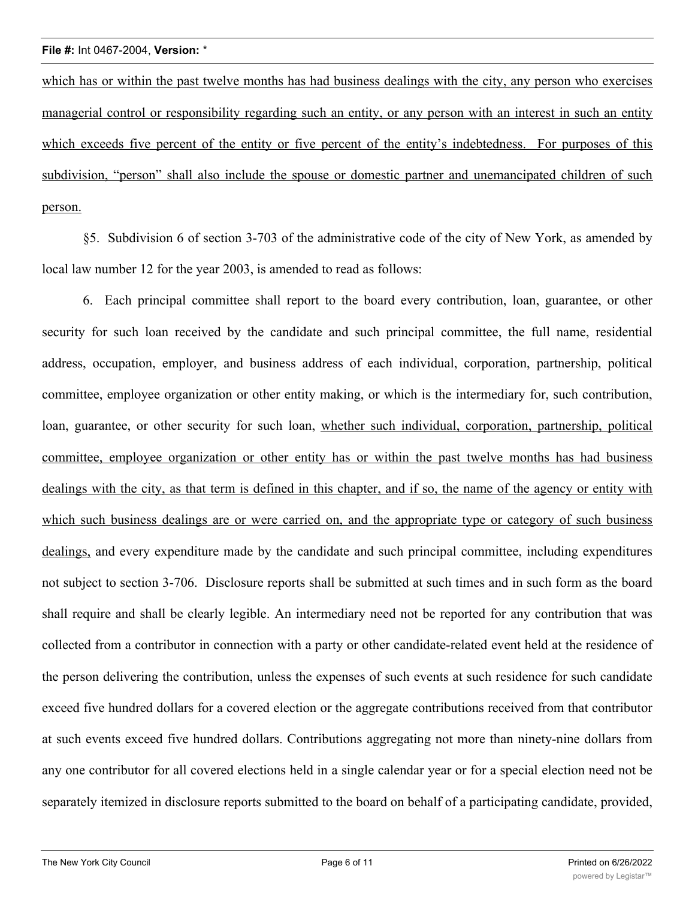which has or within the past twelve months has had business dealings with the city, any person who exercises managerial control or responsibility regarding such an entity, or any person with an interest in such an entity which exceeds five percent of the entity or five percent of the entity's indebtedness. For purposes of this subdivision, "person" shall also include the spouse or domestic partner and unemancipated children of such person.

§5. Subdivision 6 of section 3-703 of the administrative code of the city of New York, as amended by local law number 12 for the year 2003, is amended to read as follows:

6. Each principal committee shall report to the board every contribution, loan, guarantee, or other security for such loan received by the candidate and such principal committee, the full name, residential address, occupation, employer, and business address of each individual, corporation, partnership, political committee, employee organization or other entity making, or which is the intermediary for, such contribution, loan, guarantee, or other security for such loan, whether such individual, corporation, partnership, political committee, employee organization or other entity has or within the past twelve months has had business dealings with the city, as that term is defined in this chapter, and if so, the name of the agency or entity with which such business dealings are or were carried on, and the appropriate type or category of such business dealings, and every expenditure made by the candidate and such principal committee, including expenditures not subject to section 3-706. Disclosure reports shall be submitted at such times and in such form as the board shall require and shall be clearly legible. An intermediary need not be reported for any contribution that was collected from a contributor in connection with a party or other candidate-related event held at the residence of the person delivering the contribution, unless the expenses of such events at such residence for such candidate exceed five hundred dollars for a covered election or the aggregate contributions received from that contributor at such events exceed five hundred dollars. Contributions aggregating not more than ninety-nine dollars from any one contributor for all covered elections held in a single calendar year or for a special election need not be separately itemized in disclosure reports submitted to the board on behalf of a participating candidate, provided,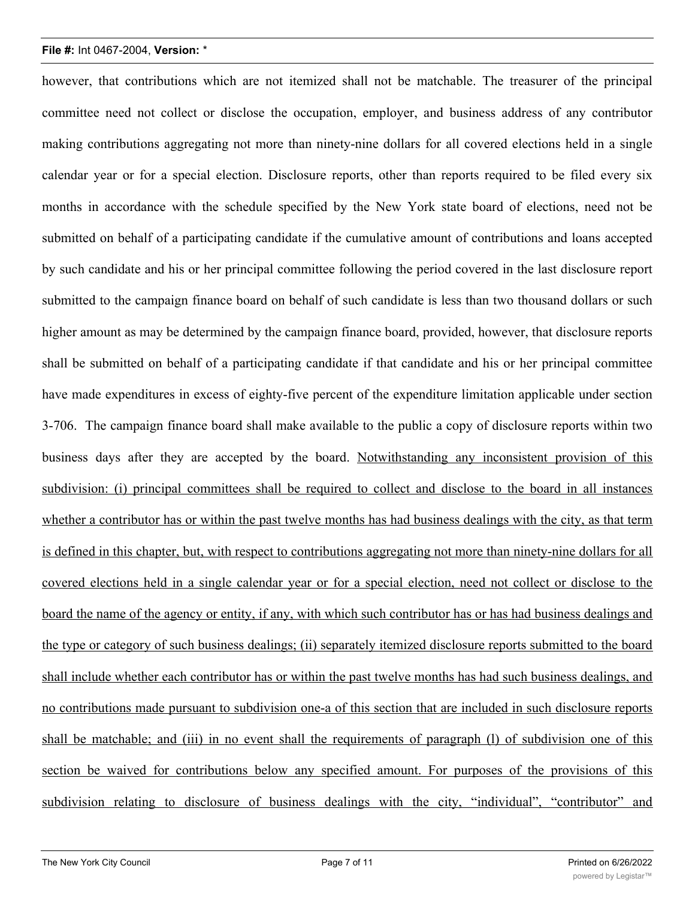# **File #:** Int 0467-2004, **Version:** \*

however, that contributions which are not itemized shall not be matchable. The treasurer of the principal committee need not collect or disclose the occupation, employer, and business address of any contributor making contributions aggregating not more than ninety-nine dollars for all covered elections held in a single calendar year or for a special election. Disclosure reports, other than reports required to be filed every six months in accordance with the schedule specified by the New York state board of elections, need not be submitted on behalf of a participating candidate if the cumulative amount of contributions and loans accepted by such candidate and his or her principal committee following the period covered in the last disclosure report submitted to the campaign finance board on behalf of such candidate is less than two thousand dollars or such higher amount as may be determined by the campaign finance board, provided, however, that disclosure reports shall be submitted on behalf of a participating candidate if that candidate and his or her principal committee have made expenditures in excess of eighty-five percent of the expenditure limitation applicable under section 3-706. The campaign finance board shall make available to the public a copy of disclosure reports within two business days after they are accepted by the board. Notwithstanding any inconsistent provision of this subdivision: (i) principal committees shall be required to collect and disclose to the board in all instances whether a contributor has or within the past twelve months has had business dealings with the city, as that term is defined in this chapter, but, with respect to contributions aggregating not more than ninety-nine dollars for all covered elections held in a single calendar year or for a special election, need not collect or disclose to the board the name of the agency or entity, if any, with which such contributor has or has had business dealings and the type or category of such business dealings; (ii) separately itemized disclosure reports submitted to the board shall include whether each contributor has or within the past twelve months has had such business dealings, and no contributions made pursuant to subdivision one-a of this section that are included in such disclosure reports shall be matchable; and (iii) in no event shall the requirements of paragraph (l) of subdivision one of this section be waived for contributions below any specified amount. For purposes of the provisions of this subdivision relating to disclosure of business dealings with the city, "individual", "contributor" and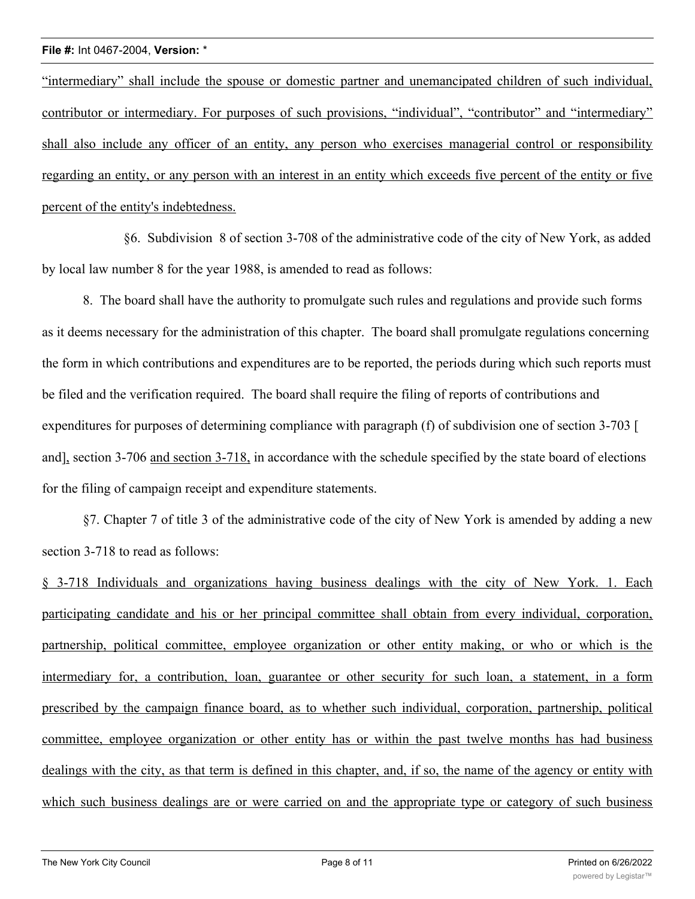### **File #:** Int 0467-2004, **Version:** \*

"intermediary" shall include the spouse or domestic partner and unemancipated children of such individual, contributor or intermediary. For purposes of such provisions, "individual", "contributor" and "intermediary" shall also include any officer of an entity, any person who exercises managerial control or responsibility regarding an entity, or any person with an interest in an entity which exceeds five percent of the entity or five percent of the entity's indebtedness.

§6. Subdivision 8 of section 3-708 of the administrative code of the city of New York, as added by local law number 8 for the year 1988, is amended to read as follows:

8. The board shall have the authority to promulgate such rules and regulations and provide such forms as it deems necessary for the administration of this chapter. The board shall promulgate regulations concerning the form in which contributions and expenditures are to be reported, the periods during which such reports must be filed and the verification required. The board shall require the filing of reports of contributions and expenditures for purposes of determining compliance with paragraph (f) of subdivision one of section 3-703 [ and], section 3-706 and section 3-718, in accordance with the schedule specified by the state board of elections for the filing of campaign receipt and expenditure statements.

§7. Chapter 7 of title 3 of the administrative code of the city of New York is amended by adding a new section 3-718 to read as follows:

§ 3-718 Individuals and organizations having business dealings with the city of New York. 1. Each participating candidate and his or her principal committee shall obtain from every individual, corporation, partnership, political committee, employee organization or other entity making, or who or which is the intermediary for, a contribution, loan, guarantee or other security for such loan, a statement, in a form prescribed by the campaign finance board, as to whether such individual, corporation, partnership, political committee, employee organization or other entity has or within the past twelve months has had business dealings with the city, as that term is defined in this chapter, and, if so, the name of the agency or entity with which such business dealings are or were carried on and the appropriate type or category of such business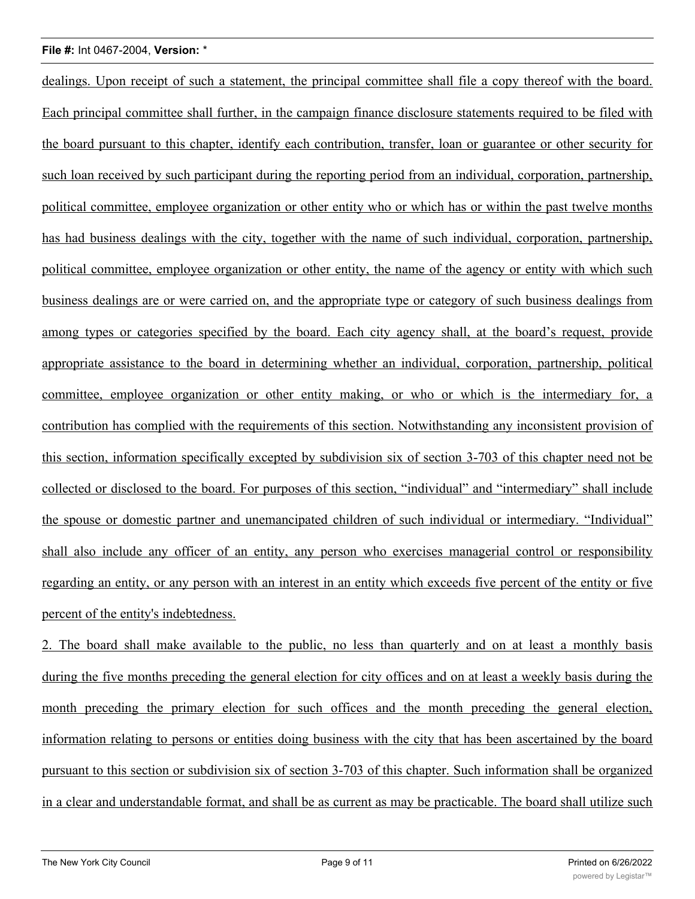dealings. Upon receipt of such a statement, the principal committee shall file a copy thereof with the board. Each principal committee shall further, in the campaign finance disclosure statements required to be filed with the board pursuant to this chapter, identify each contribution, transfer, loan or guarantee or other security for such loan received by such participant during the reporting period from an individual, corporation, partnership, political committee, employee organization or other entity who or which has or within the past twelve months has had business dealings with the city, together with the name of such individual, corporation, partnership, political committee, employee organization or other entity, the name of the agency or entity with which such business dealings are or were carried on, and the appropriate type or category of such business dealings from among types or categories specified by the board. Each city agency shall, at the board's request, provide appropriate assistance to the board in determining whether an individual, corporation, partnership, political committee, employee organization or other entity making, or who or which is the intermediary for, a contribution has complied with the requirements of this section. Notwithstanding any inconsistent provision of this section, information specifically excepted by subdivision six of section 3-703 of this chapter need not be collected or disclosed to the board. For purposes of this section, "individual" and "intermediary" shall include the spouse or domestic partner and unemancipated children of such individual or intermediary. "Individual" shall also include any officer of an entity, any person who exercises managerial control or responsibility regarding an entity, or any person with an interest in an entity which exceeds five percent of the entity or five percent of the entity's indebtedness.

2. The board shall make available to the public, no less than quarterly and on at least a monthly basis during the five months preceding the general election for city offices and on at least a weekly basis during the month preceding the primary election for such offices and the month preceding the general election, information relating to persons or entities doing business with the city that has been ascertained by the board pursuant to this section or subdivision six of section 3-703 of this chapter. Such information shall be organized in a clear and understandable format, and shall be as current as may be practicable. The board shall utilize such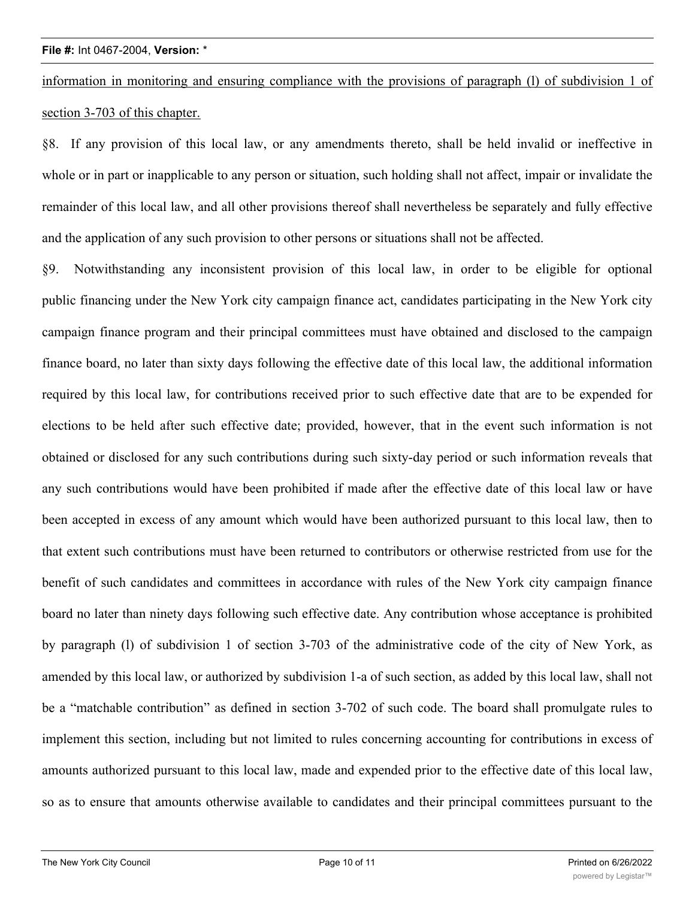information in monitoring and ensuring compliance with the provisions of paragraph (l) of subdivision 1 of section 3-703 of this chapter.

§8. If any provision of this local law, or any amendments thereto, shall be held invalid or ineffective in whole or in part or inapplicable to any person or situation, such holding shall not affect, impair or invalidate the remainder of this local law, and all other provisions thereof shall nevertheless be separately and fully effective and the application of any such provision to other persons or situations shall not be affected.

§9. Notwithstanding any inconsistent provision of this local law, in order to be eligible for optional public financing under the New York city campaign finance act, candidates participating in the New York city campaign finance program and their principal committees must have obtained and disclosed to the campaign finance board, no later than sixty days following the effective date of this local law, the additional information required by this local law, for contributions received prior to such effective date that are to be expended for elections to be held after such effective date; provided, however, that in the event such information is not obtained or disclosed for any such contributions during such sixty-day period or such information reveals that any such contributions would have been prohibited if made after the effective date of this local law or have been accepted in excess of any amount which would have been authorized pursuant to this local law, then to that extent such contributions must have been returned to contributors or otherwise restricted from use for the benefit of such candidates and committees in accordance with rules of the New York city campaign finance board no later than ninety days following such effective date. Any contribution whose acceptance is prohibited by paragraph (l) of subdivision 1 of section 3-703 of the administrative code of the city of New York, as amended by this local law, or authorized by subdivision 1-a of such section, as added by this local law, shall not be a "matchable contribution" as defined in section 3-702 of such code. The board shall promulgate rules to implement this section, including but not limited to rules concerning accounting for contributions in excess of amounts authorized pursuant to this local law, made and expended prior to the effective date of this local law, so as to ensure that amounts otherwise available to candidates and their principal committees pursuant to the